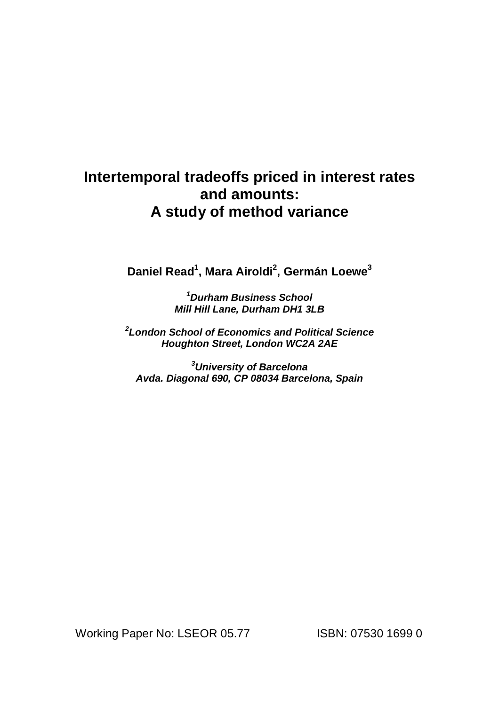# **Intertemporal tradeoffs priced in interest rates and amounts: A study of method variance**

**Daniel Read 1 , Mara Airoldi 2 , Germán Loewe 3**

**<sup>1</sup>Durham Business School Mill Hill Lane, Durham DH1 3LB**

**2 London School of Economics and Political Science Houghton Street, London WC2A 2AE**

**<sup>3</sup>University of Barcelona Avda. Diagonal 690, CP 08034 Barcelona, Spain**

Working Paper No: LSEOR 05.77 ISBN: 07530 1699 0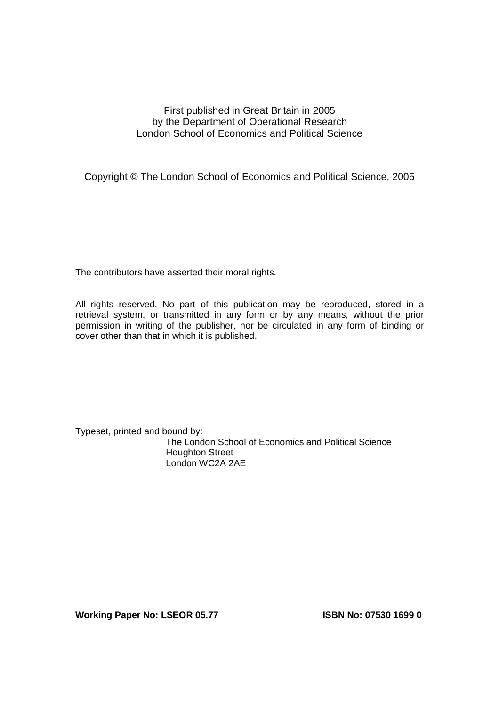# First published in Great Britain in 2005 by the Department of Operational Research London School of Economics and Political Science

Copyright © The London School of Economics and Political Science, 2005

The contributors have asserted their moral rights.

All rights reserved. No part of this publication may be reproduced, stored in a retrieval system, or transmitted in any form or by any means, without the prior permission in writing of the publisher, nor be circulated in any form of binding or cover other than that in which it is published.

Typeset, printed and bound by: The London School of Economics and Political Science Houghton Street London WC2A 2AE

**Working Paper No: LSEOR 05.77 ISBN No: 07530 1699 0**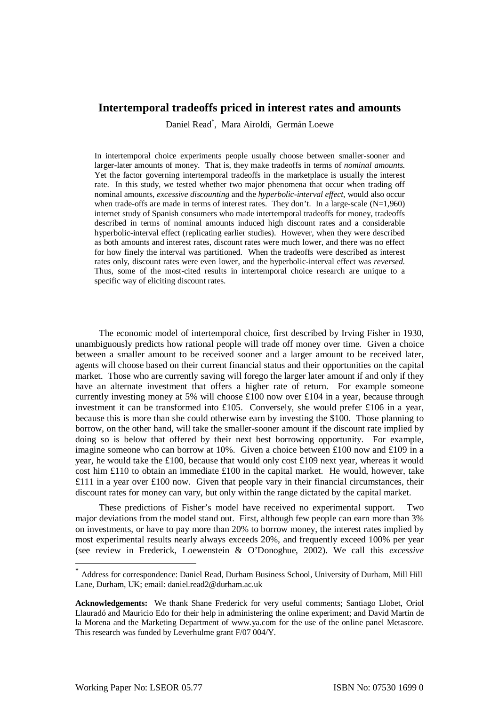# **Intertemporal tradeoffs priced in interest rates and amounts**

Daniel Read \* , Mara Airoldi, Germán Loewe

In intertemporal choice experiments people usually choose between smaller-sooner and larger-later amounts of money. That is, they make tradeoffs in terms of *nominal amounts*. Yet the factor governing intertemporal tradeoffs in the marketplace is usually the interest rate. In this study, we tested whether two major phenomena that occur when trading off nominal amounts, *excessive discounting* and the *hyperbolic-interval effect*, would also occur when trade-offs are made in terms of interest rates. They don't. In a large-scale  $(N=1,960)$ internet study of Spanish consumers who made intertemporal tradeoffs for money, tradeoffs described in terms of nominal amounts induced high discount rates and a considerable hyperbolic-interval effect (replicating earlier studies). However, when they were described as both amounts and interest rates, discount rates were much lower, and there was no effect for how finely the interval was partitioned. When the tradeoffs were described as interest rates only, discount rates were even lower, and the hyperbolic-interval effect was *reversed*. Thus, some of the most-cited results in intertemporal choice research are unique to a specific way of eliciting discount rates.

The economic model of intertemporal choice, first described by Irving Fisher in 1930, unambiguously predicts how rational people will trade off money over time. Given a choice between a smaller amount to be received sooner and a larger amount to be received later, agents will choose based on their current financial status and their opportunities on the capital market. Those who are currently saving will forego the larger later amount if and only if they have an alternate investment that offers a higher rate of return. For example someone currently investing money at 5% will choose  $\pounds100$  now over  $\pounds104$  in a year, because through investment it can be transformed into £105. Conversely, she would prefer £106 in a year, because this is more than she could otherwise earn by investing the \$100. Those planning to borrow, on the other hand, will take the smaller-sooner amount if the discount rate implied by doing so is below that offered by their next best borrowing opportunity. For example, imagine someone who can borrow at 10%. Given a choice between £100 now and £109 in a year, he would take the £100, because that would only cost £109 next year, whereas it would cost him £110 to obtain an immediate £100 in the capital market. He would, however, take £111 in a year over £100 now. Given that people vary in their financial circumstances, their discount rates for money can vary, but only within the range dictated by the capital market.

These predictions of Fisher's model have received no experimental support. Two major deviations from the model stand out. First, although few people can earn more than 3% on investments, or have to pay more than 20% to borrow money, the interest rates implied by most experimental results nearly always exceeds 20%, and frequently exceed 100% per year (see review in Frederick, Loewenstein & O'Donoghue, 2002). We call this *excessive*

**<sup>\*</sup>** Address for correspondence: Daniel Read, Durham Business School, University of Durham, Mill Hill Lane, Durham, UK; email: daniel.read2@durham.ac.uk

**Acknowledgements:** We thank Shane Frederick for very useful comments; Santiago Llobet, Oriol Llauradó and Mauricio Edo for their help in administering the online experiment; and David Martin de la Morena and the Marketing Department of www.ya.com for the use of the online panel Metascore. This research was funded by Leverhulme grant F/07 004/Y.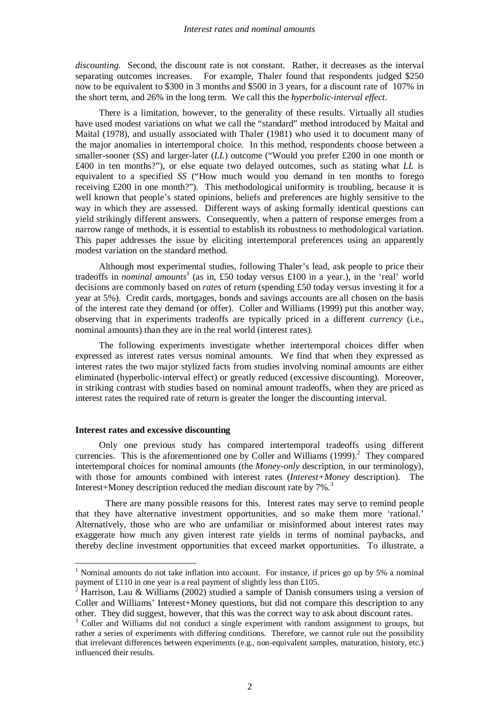*discounting*. Second, the discount rate is not constant. Rather, it decreases as the interval separating outcomes increases. For example, Thaler found that respondents judged \$250 now to be equivalent to \$300 in 3 months and \$500 in 3 years, for a discount rate of 107% in the short term, and 26% in the long term. We call this the *hyperbolic-interval effect*.

There is a limitation, however, to the generality of these results. Virtually all studies have used modest variations on what we call the "standard" method introduced by Maital and Maital (1978), and usually associated with Thaler (1981) who used it to document many of the major anomalies in intertemporal choice. In this method, respondents choose between a smaller-sooner (*SS*) and larger-later (*LL*) outcome ("Would you prefer £200 in one month or £400 in ten months?"), or else equate two delayed outcomes, such as stating what *LL* is equivalent to a specified *SS* ("How much would you demand in ten months to forego receiving £200 in one month?"). This methodological uniformity is troubling, because it is well known that people's stated opinions, beliefs and preferences are highly sensitive to the way in which they are assessed. Different ways of asking formally identical questions can yield strikingly different answers. Consequently, when a pattern of response emerges from a narrow range of methods, it is essential to establish its robustness to methodological variation. This paper addresses the issue by eliciting intertemporal preferences using an apparently modest variation on the standard method.

Although most experimental studies, following Thaler's lead, ask people to price their tradeoffs in *nominal amounts* 1 (as in, £50 today versus £100 in a year.), in the 'real' world decisions are commonly based on *rates* of return (spending £50 today versus investing it for a year at 5%). Credit cards, mortgages, bonds and savings accounts are all chosen on the basis of the interest rate they demand (or offer). Coller and Williams (1999) put this another way, observing that in experiments tradeoffs are typically priced in a different *currency* (i.e., nominal amounts) than they are in the real world (interest rates).

The following experiments investigate whether intertemporal choices differ when expressed as interest rates versus nominal amounts. We find that when they expressed as interest rates the two major stylized facts from studies involving nominal amounts are either eliminated (hyperbolic-interval effect) or greatly reduced (excessive discounting). Moreover, in striking contrast with studies based on nominal amount tradeoffs, when they are priced as interest rates the required rate of return is greater the longer the discounting interval.

## **Interest rates and excessive discounting**

Only one previous study has compared intertemporal tradeoffs using different currencies. This is the aforementioned one by Coller and Williams  $(1999)$ .<sup>2</sup> They compared intertemporal choices for nominal amounts (the *Money-only* description, in our terminology), with those for amounts combined with interest rates (*Interest+Money* description). The Interest+Money description reduced the median discount rate by 7%.<sup>3</sup>

There are many possible reasons for this. Interest rates may serve to remind people that they have alternative investment opportunities, and so make them more 'rational.' Alternatively, those who are who are unfamiliar or misinformed about interest rates may exaggerate how much any given interest rate yields in terms of nominal paybacks, and thereby decline investment opportunities that exceed market opportunities. To illustrate, a

<sup>1</sup> Nominal amounts do not take inflation into account. For instance, if prices go up by 5% a nominal payment of £110 in one year is a real payment of slightly less than £105.

<sup>2</sup> Harrison, Lau & Williams (2002) studied a sample of Danish consumers using a version of Coller and Williams' Interest+Money questions, but did not compare this description to any other. They did suggest, however, that this was the correct way to ask about discount rates.

<sup>&</sup>lt;sup>3</sup> Coller and Williams did not conduct a single experiment with random assignment to groups, but rather a series of experiments with differing conditions. Therefore, we cannot rule out the possibility that irrelevant differences between experiments (e.g., non-equivalent samples, maturation, history, etc.) influenced their results.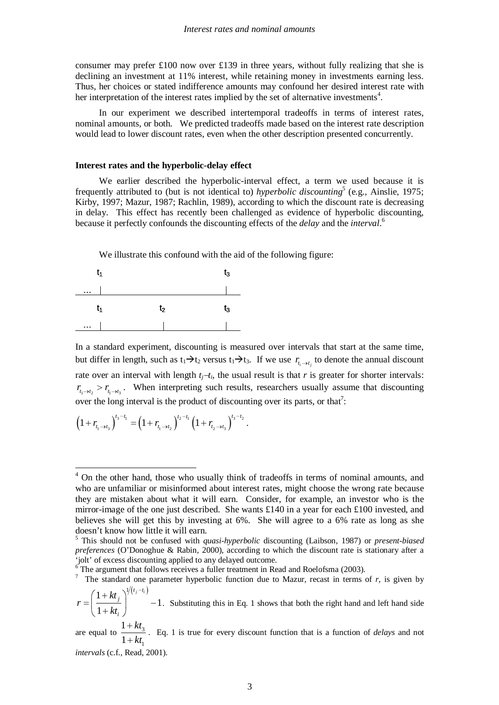consumer may prefer £100 now over £139 in three years, without fully realizing that she is declining an investment at 11% interest, while retaining money in investments earning less. Thus, her choices or stated indifference amounts may confound her desired interest rate with her interpretation of the interest rates implied by the set of alternative investments<sup>4</sup>.

In our experiment we described intertemporal tradeoffs in terms of interest rates, nominal amounts, or both. We predicted tradeoffs made based on the interest rate description would lead to lower discount rates, even when the other description presented concurrently.

#### **Interest rates and the hyperbolic-delay effect**

We earlier described the hyperbolic-interval effect, a term we used because it is frequently attributed to (but is not identical to) *hyperbolic discounting* 5 (e.g., Ainslie, 1975; Kirby, 1997; Mazur, 1987; Rachlin, 1989), according to which the discount rate is decreasing in delay. This effect has recently been challenged as evidence of hyperbolic discounting, because it perfectly confounds the discounting effects of the *delay* and the *interval*. 6

We illustrate this confound with the aid of the following figure:



In a standard experiment, discounting is measured over intervals that start at the same time, but differ in length, such as  $t_1 \rightarrow t_2$  versus  $t_1 \rightarrow t_3$ . If we use  $r_{t_i \rightarrow t_j}$  to denote the annual discount rate over an interval with length  $t_j$ − $t_i$ , the usual result is that  $r$  is greater for shorter intervals:  $r_{t_1 \to t_2} > r_{t_1 \to t_3}$ . When interpreting such results, researchers usually assume that discounting over the long interval is the product of discounting over its parts, or that<sup>7</sup>:

$$
\left(1 + r_{t_1 \to t_3}\right)^{t_3 - t_1} = \left(1 + r_{t_1 \to t_2}\right)^{t_2 - t_1} \left(1 + r_{t_2 \to t_3}\right)^{t_3 - t_2}.
$$

<sup>&</sup>lt;sup>4</sup> On the other hand, those who usually think of tradeoffs in terms of nominal amounts, and who are unfamiliar or misinformed about interest rates, might choose the wrong rate because they are mistaken about what it will earn. Consider, for example, an investor who is the mirror-image of the one just described. She wants  $\text{\pounds}140$  in a year for each  $\text{\pounds}100$  invested, and believes she will get this by investing at 6%. She will agree to a 6% rate as long as she doesn't know how little it will earn.

<sup>5</sup> This should not be confused with *quasi-hyperbolic* discounting (Laibson, 1987) or *present-biased preferences* (O'Donoghue & Rabin, 2000), according to which the discount rate is stationary after a 'jolt' of excess discounting applied to any delayed outcome.

 $6$  The argument that follows receives a fuller treatment in Read and Roelofsma (2003).

<sup>&</sup>lt;sup>7</sup> The standard one parameter hyperbolic function due to Mazur, recast in terms of  $r$ , is given by  $1 + kt_i \big)^{1/(t_j - t_i)}$  $t_j - t_i$  $(1+kt_i)^{1/(t_j-1)}$ 

<sup>1</sup> 1 *j kt i r kt*  $=\left(\begin{array}{cc} 1+\kappa\iota_j \\ 1-\lambda_j \end{array}\right)$  - $\left(\overline{\frac{1}{1+kt_i}}\right)$  -1. Substituting this in Eq. 1 shows that both the right hand and left hand side

are equal to  $\frac{1 + \kappa_3}{1 + \kappa_4}$ 1 1 1 *kt kt* +  $+\frac{1}{k}$ . Eq. 1 is true for every discount function that is a function of *delays* and not

*intervals* (c.f., Read, 2001).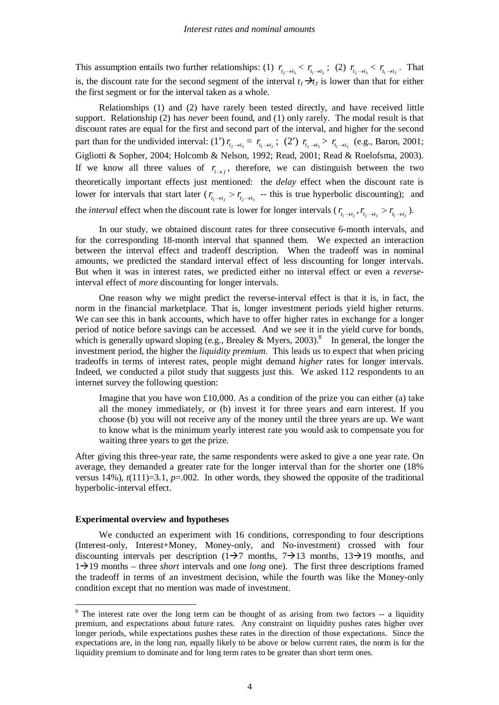This assumption entails two further relationships: (1)  $r_{t_2 \to t_3} < r_{t_1 \to t_2}$ ; (2)  $r_{t_2 \to t_3} < r_{t_1 \to t_3}$ . That is, the discount rate for the second segment of the interval  $t_i \rightarrow t_i$  is lower than that for either the first segment or for the interval taken as a whole.

Relationships (1) and (2) have rarely been tested directly, and have received little support. Relationship (2) has *never* been found, and (1) only rarely. The modal result is that discount rates are equal for the first and second part of the interval, and higher for the second part than for the undivided interval: (1')  $r_{t_2 \to t_3} = r_{t_1 \to t_2}$ ; (2')  $r_{t_2 \to t_3} > r_{t_1 \to t_3}$  (e.g., Baron, 2001; Gigliotti & Sopher, 2004; Holcomb & Nelson, 1992; Read, 2001; Read & Roelofsma, 2003). If we know all three values of  $r_{i \to j}$ , therefore, we can distinguish between the two theoretically important effects just mentioned: the *delay* effect when the discount rate is lower for intervals that start later ( $r_{t_1 \to t_2} > r_{t_2 \to t_3}$  -- this is true hyperbolic discounting); and the *interval* effect when the discount rate is lower for longer intervals ( $r_{t_1 \to t_2}$ ,  $r_{t_2 \to t_3} > r_{t_1 \to t_3}$ ).

In our study, we obtained discount rates for three consecutive 6-month intervals, and for the corresponding 18-month interval that spanned them. We expected an interaction between the interval effect and tradeoff description. When the tradeoff was in nominal amounts, we predicted the standard interval effect of less discounting for longer intervals. But when it was in interest rates, we predicted either no interval effect or even a *reverse*interval effect of *more* discounting for longer intervals.

One reason why we might predict the reverse-interval effect is that it is, in fact, the norm in the financial marketplace. That is, longer investment periods yield higher returns. We can see this in bank accounts, which have to offer higher rates in exchange for a longer period of notice before savings can be accessed. And we see it in the yield curve for bonds, which is generally upward sloping (e.g., Brealey & Myers, 2003).<sup>8</sup> In general, the longer the investment period, the higher the *liquidity premium*. This leads us to expect that when pricing tradeoffs in terms of interest rates, people might demand *higher* rates for longer intervals. Indeed, we conducted a pilot study that suggests just this. We asked 112 respondents to an internet survey the following question:

Imagine that you have won  $\pounds 10,000$ . As a condition of the prize you can either (a) take all the money immediately, or (b) invest it for three years and earn interest. If you choose (b) you will not receive any of the money until the three years are up. We want to know what is the minimum yearly interest rate you would ask to compensate you for waiting three years to get the prize.

After giving this three-year rate, the same respondents were asked to give a one year rate. On average, they demanded a greater rate for the longer interval than for the shorter one (18% versus 14%),  $t(111)=3.1$ ,  $p=.002$ . In other words, they showed the opposite of the traditional hyperbolic-interval effect.

#### **Experimental overview and hypotheses**

We conducted an experiment with 16 conditions, corresponding to four descriptions (Interest-only, Interest+Money, Money-only, and No-investment) crossed with four discounting intervals per description  $(1\rightarrow 7 \text{ months}, 7\rightarrow 13 \text{ months}, 13\rightarrow 19 \text{ months}, \text{ and}$  $1\rightarrow 19$  months – three *short* intervals and one *long* one). The first three descriptions framed the tradeoff in terms of an investment decision, while the fourth was like the Money-only condition except that no mention was made of investment.

<sup>&</sup>lt;sup>8</sup> The interest rate over the long term can be thought of as arising from two factors -- a liquidity premium, and expectations about future rates. Any constraint on liquidity pushes rates higher over longer periods, while expectations pushes these rates in the direction of those expectations. Since the expectations are, in the long run, equally likely to be above or below current rates, the norm is for the liquidity premium to dominate and for long term rates to be greater than short term ones.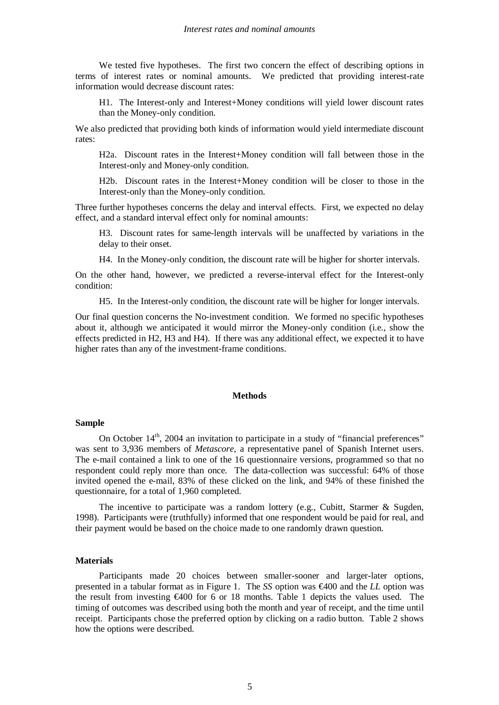We tested five hypotheses. The first two concern the effect of describing options in terms of interest rates or nominal amounts. We predicted that providing interest-rate information would decrease discount rates:

H1. The Interest-only and Interest+Money conditions will yield lower discount rates than the Money-only condition.

We also predicted that providing both kinds of information would yield intermediate discount rates:

H2a. Discount rates in the Interest+Money condition will fall between those in the Interest-only and Money-only condition.

H2b. Discount rates in the Interest+Money condition will be closer to those in the Interest-only than the Money-only condition.

Three further hypotheses concerns the delay and interval effects. First, we expected no delay effect, and a standard interval effect only for nominal amounts:

H3. Discount rates for same-length intervals will be unaffected by variations in the delay to their onset.

H4. In the Money-only condition, the discount rate will be higher for shorter intervals.

On the other hand, however, we predicted a reverse-interval effect for the Interest-only condition:

H5. In the Interest-only condition, the discount rate will be higher for longer intervals.

Our final question concerns the No-investment condition. We formed no specific hypotheses about it, although we anticipated it would mirror the Money-only condition (i.e., show the effects predicted in H2, H3 and H4). If there was any additional effect, we expected it to have higher rates than any of the investment-frame conditions.

#### **Methods**

#### **Sample**

On October 14<sup>th</sup>, 2004 an invitation to participate in a study of "financial preferences" was sent to 3,936 members of *Metascore*, a representative panel of Spanish Internet users. The e-mail contained a link to one of the 16 questionnaire versions, programmed so that no respondent could reply more than once. The data-collection was successful: 64% of those invited opened the e-mail, 83% of these clicked on the link, and 94% of these finished the questionnaire, for a total of 1,960 completed.

The incentive to participate was a random lottery (e.g., Cubitt, Starmer & Sugden, 1998). Participants were (truthfully) informed that one respondent would be paid for real, and their payment would be based on the choice made to one randomly drawn question.

#### **Materials**

Participants made 20 choices between smaller-sooner and larger-later options, presented in a tabular format as in Figure 1. The *SS* option was €400 and the *LL* option was the result from investing  $600$  for 6 or 18 months. Table 1 depicts the values used. The timing of outcomes was described using both the month and year of receipt, and the time until receipt. Participants chose the preferred option by clicking on a radio button. Table 2 shows how the options were described.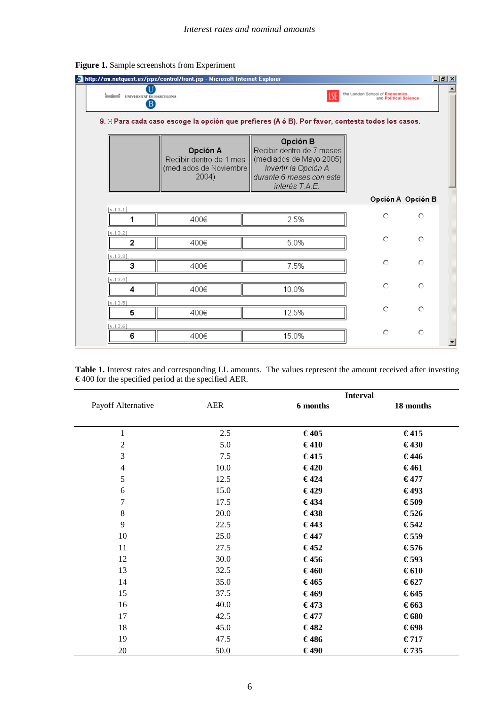|                                                                                                  | http://sm.netquest.es/jsps/control/front.jsp - Microsoft Internet Explorer |                                                                                                                                        |                    | $- B  \times$ |  |  |  |
|--------------------------------------------------------------------------------------------------|----------------------------------------------------------------------------|----------------------------------------------------------------------------------------------------------------------------------------|--------------------|---------------|--|--|--|
| <b>Langland UNIVERSITAT DE BARCELONA</b><br>B                                                    | the London School of Economics<br>and Political Science                    |                                                                                                                                        |                    |               |  |  |  |
| 9. ⊮ Para cada caso escoge la opción que prefieres (A ó B). Por favor, contesta todos los casos. |                                                                            |                                                                                                                                        |                    |               |  |  |  |
|                                                                                                  | Opción A<br>Recibir dentro de 1 mes<br>(mediados de Noviembre<br>2004)     | Opción B<br>Recibir dentro de 7 meses<br>(mediados de Mayo 2005)<br>Invertir la Opción A<br>durante 6 meses con este<br>interés T.A.E. |                    |               |  |  |  |
|                                                                                                  |                                                                            |                                                                                                                                        | Opción A Opción B  |               |  |  |  |
| [v.13.1]                                                                                         |                                                                            |                                                                                                                                        | $\circ$<br>$\circ$ |               |  |  |  |
| 1                                                                                                | 400€                                                                       | 2.5%                                                                                                                                   |                    |               |  |  |  |
| [v.13.2]<br>$\overline{2}$                                                                       |                                                                            |                                                                                                                                        | O<br>О             |               |  |  |  |
|                                                                                                  | 400€                                                                       | 5.0%                                                                                                                                   |                    |               |  |  |  |
| [v.13.3]<br>з                                                                                    | 400€                                                                       | 7.5%                                                                                                                                   | O<br>O             |               |  |  |  |
| [v.13.4]                                                                                         |                                                                            |                                                                                                                                        | $\circ$<br>$\circ$ |               |  |  |  |
| 4                                                                                                | 400€                                                                       | 10.0%                                                                                                                                  |                    |               |  |  |  |
| [v.13.5]<br>5                                                                                    | 400€                                                                       | 12.5%                                                                                                                                  | O<br>О             |               |  |  |  |
|                                                                                                  |                                                                            |                                                                                                                                        |                    |               |  |  |  |
| [v.13.6]<br>6                                                                                    | 400€                                                                       | 15.0%                                                                                                                                  | O<br>O             |               |  |  |  |

**Figure 1.** Sample screenshots from Experiment

|                                                               | Table 1. Interest rates and corresponding LL amounts. The values represent the amount received after investing |
|---------------------------------------------------------------|----------------------------------------------------------------------------------------------------------------|
| $\epsilon$ 400 for the specified period at the specified AER. |                                                                                                                |

|                    |      | <b>Interval</b> |           |  |
|--------------------|------|-----------------|-----------|--|
| Payoff Alternative | AER  | 6 months        | 18 months |  |
|                    |      |                 |           |  |
| $\mathbf{1}$       | 2.5  | €405            | €415      |  |
| $\sqrt{2}$         | 5.0  | €410            | €430      |  |
| $\mathfrak{Z}$     | 7.5  | €415            | €446      |  |
| $\overline{4}$     | 10.0 | €420            | €461      |  |
| 5                  | 12.5 | €424            | €477      |  |
| $\sqrt{6}$         | 15.0 | €429            | €493      |  |
| $\boldsymbol{7}$   | 17.5 | €434            | €509      |  |
| $8\,$              | 20.0 | €438            | €526      |  |
| 9                  | 22.5 | €443            | €542      |  |
| 10                 | 25.0 | €447            | €559      |  |
| 11                 | 27.5 | €452            | €576      |  |
| 12                 | 30.0 | €456            | €593      |  |
| 13                 | 32.5 | €460            | €610      |  |
| 14                 | 35.0 | €465            | €627      |  |
| 15                 | 37.5 | €469            | €645      |  |
| 16                 | 40.0 | €473            | €663      |  |
| 17                 | 42.5 | €477            | €680      |  |
| 18                 | 45.0 | €482            | €698      |  |
| 19                 | 47.5 | €486            | €717      |  |
| $20\,$             | 50.0 | €490            | €735      |  |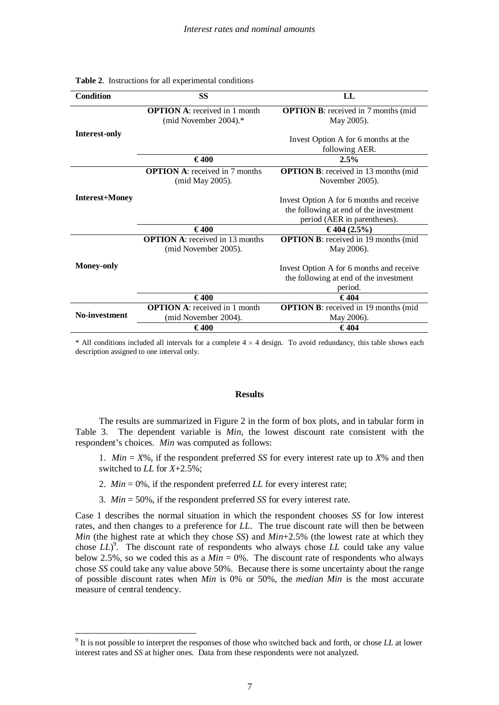| <b>Condition</b>      | <b>SS</b>                                                        | LL                                                                                                                 |
|-----------------------|------------------------------------------------------------------|--------------------------------------------------------------------------------------------------------------------|
|                       | <b>OPTION A:</b> received in 1 month<br>(mid November $2004$ ).* | <b>OPTION B:</b> received in 7 months (mid<br>May 2005).                                                           |
| <b>Interest-only</b>  |                                                                  | Invest Option A for 6 months at the<br>following AER.                                                              |
|                       | €400                                                             | 2.5%                                                                                                               |
|                       | <b>OPTION A:</b> received in 7 months<br>(mid May 2005).         | <b>OPTION B</b> : received in 13 months (mid<br>November 2005).                                                    |
| <b>Interest+Money</b> |                                                                  | Invest Option A for 6 months and receive<br>the following at end of the investment<br>period (AER in parentheses). |
|                       | €400                                                             | €404 $(2.5\%)$                                                                                                     |
|                       | <b>OPTION A:</b> received in 13 months<br>(mid November 2005).   | <b>OPTION B:</b> received in 19 months (mid<br>May 2006).                                                          |
| <b>Money-only</b>     |                                                                  | Invest Option A for 6 months and receive<br>the following at end of the investment<br>period.                      |
|                       | €400                                                             | €404                                                                                                               |
| No-investment         | <b>OPTION A:</b> received in 1 month<br>(mid November 2004).     | <b>OPTION B:</b> received in 19 months (mid<br>May 2006).                                                          |
|                       | €400                                                             | €404                                                                                                               |

#### **Table 2**. Instructions for all experimental conditions

 $*$  All conditions included all intervals for a complete  $4 \times 4$  design. To avoid redundancy, this table shows each description assigned to one interval only.

#### **Results**

The results are summarized in Figure 2 in the form of box plots, and in tabular form in Table 3. The dependent variable is *Min*, the lowest discount rate consistent with the respondent's choices. *Min* was computed as follows:

1. *Min*  $= X\%$ , if the respondent preferred *SS* for every interest rate up to  $X\%$  and then switched to *LL* for *X*+2.5%;

- 2. *Min* = 0%, if the respondent preferred *LL* for every interest rate;
- 3. *Min* = 50%, if the respondent preferred *SS* for every interest rate.

Case 1 describes the normal situation in which the respondent chooses *SS* for low interest rates, and then changes to a preference for *LL*. The true discount rate will then be between *Min* (the highest rate at which they chose *SS*) and *Min*+2.5% (the lowest rate at which they chose *LL*)<sup>9</sup>. The discount rate of respondents who always chose *LL* could take any value below 2.5%, so we coded this as a  $Min = 0\%$ . The discount rate of respondents who always chose *SS* could take any value above 50%. Because there is some uncertainty about the range of possible discount rates when *Min* is 0% or 50%, the *median Min* is the most accurate measure of central tendency.

<sup>9</sup> It is not possible to interpret the responses of those who switched back and forth, or chose *LL* at lower interest rates and *SS* at higher ones. Data from these respondents were not analyzed.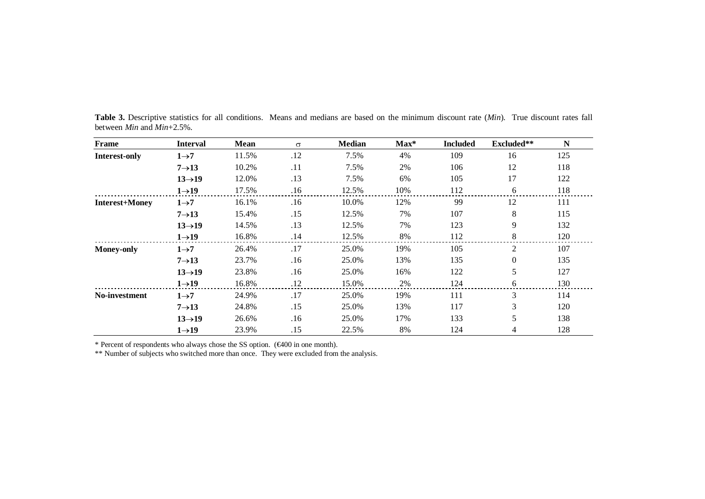| Frame                 | <b>Interval</b>     | Mean  | $\sigma$ | <b>Median</b> | $Max^*$ | <b>Included</b> | Excluded** | $\mathbf N$ |
|-----------------------|---------------------|-------|----------|---------------|---------|-----------------|------------|-------------|
| <b>Interest-only</b>  | $1\rightarrow 7$    | 11.5% | .12      | 7.5%          | 4%      | 109             | 16         | 125         |
|                       | $7\rightarrow 13$   | 10.2% | .11      | 7.5%          | 2%      | 106             | 12         | 118         |
|                       | $13 \rightarrow 19$ | 12.0% | .13      | 7.5%          | 6%      | 105             | 17         | 122         |
|                       | $1\rightarrow 19$   | 17.5% | .16      | 12.5%         | 10%     | 112             | 6          | 118         |
| <b>Interest+Money</b> | $1\rightarrow 7$    | 16.1% | .16      | 10.0%         | 12%     | 99              | 12         | 111         |
|                       | $7\rightarrow 13$   | 15.4% | .15      | 12.5%         | 7%      | 107             | 8          | 115         |
|                       | $13 \rightarrow 19$ | 14.5% | .13      | 12.5%         | 7%      | 123             | 9          | 132         |
|                       | $1\rightarrow 19$   | 16.8% | .14      | 12.5%         | 8%      | 112             | 8          | 120         |
| <b>Money-only</b>     | $1\rightarrow 7$    | 26.4% | .17      | 25.0%         | 19%     | 105             | 2          | 107         |
|                       | $7\rightarrow 13$   | 23.7% | .16      | 25.0%         | 13%     | 135             | $\Omega$   | 135         |
|                       | $13 \rightarrow 19$ | 23.8% | .16      | 25.0%         | 16%     | 122             | 5          | 127         |
|                       | $1\rightarrow 19$   | 16.8% | .12      | 15.0%         | 2%      | 124             | 6          | 130         |
| No-investment         | $1\rightarrow 7$    | 24.9% | .17      | 25.0%         | 19%     | 111             | 3          | 114         |
|                       | $7\rightarrow 13$   | 24.8% | .15      | 25.0%         | 13%     | 117             | 3          | 120         |
|                       | $13 \rightarrow 19$ | 26.6% | .16      | 25.0%         | 17%     | 133             | 5          | 138         |
|                       | $1\rightarrow 19$   | 23.9% | .15      | 22.5%         | 8%      | 124             | 4          | 128         |

**Table 3.** Descriptive statistics for all conditions. Means and medians are based on the minimum discount rate (*Min*). True discount rates fall between *Min* and *Min*+2.5%.

\* Percent of respondents who always chose the SS option. (€400 in one month). \*\* Number of subjects who switched more than once. They were excluded from the analysis.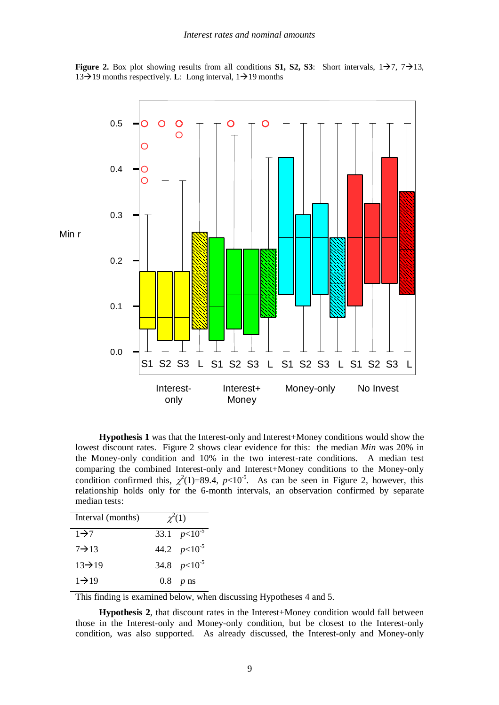**Figure** 2. Box plot showing results from all conditions **S1, S2, S3**: Short intervals,  $1\rightarrow 7$ ,  $7\rightarrow 13$ , 13 $\rightarrow$ 19 months respectively. **L**: Long interval, 1 $\rightarrow$ 19 months



**Hypothesis 1** was that the Interest-only and Interest+Money conditions would show the lowest discount rates. Figure 2 shows clear evidence for this: the median *Min* was 20% in the Money-only condition and 10% in the two interest-rate conditions. A median test comparing the combined Interest-only and Interest+Money conditions to the Money-only condition confirmed this,  $\chi^2(1)=89.4$ ,  $p<10^{-5}$ . As can be seen in Figure 2, however, this relationship holds only for the 6-month intervals, an observation confirmed by separate median tests:

| Interval (months)   | $\chi^2(1)$      |
|---------------------|------------------|
| $1\rightarrow 7$    | 33.1 $p<10^{-5}$ |
| $7 \rightarrow 13$  | 44.2 $p<10^{-5}$ |
| $13 \rightarrow 19$ | 34.8 $p<10^{-5}$ |
| $1\rightarrow 19$   | $0.8$ p ns       |

This finding is examined below, when discussing Hypotheses 4 and 5.

**Hypothesis 2**, that discount rates in the Interest+Money condition would fall between those in the Interest-only and Money-only condition, but be closest to the Interest-only condition, was also supported. As already discussed, the Interest-only and Money-only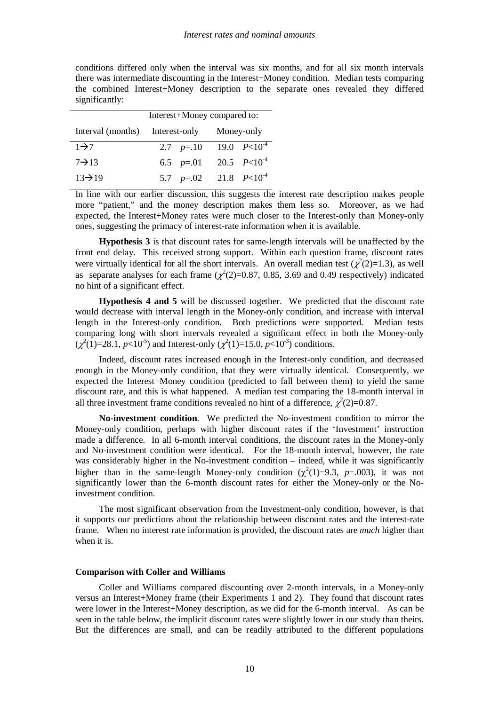conditions differed only when the interval was six months, and for all six month intervals there was intermediate discounting in the Interest+Money condition. Median tests comparing the combined Interest+Money description to the separate ones revealed they differed significantly:

|                                            | Interest+Money compared to: |                              |  |  |  |
|--------------------------------------------|-----------------------------|------------------------------|--|--|--|
| Interval (months) Interest-only Money-only |                             |                              |  |  |  |
| $1\rightarrow 7$                           |                             | 2.7 $p=.10$ 19.0 $P<10^{-4}$ |  |  |  |
| $7 \rightarrow 13$                         |                             | 6.5 $p=.01$ 20.5 $P<10^{-4}$ |  |  |  |
| $13 \rightarrow 19$                        |                             | 5.7 $p=.02$ 21.8 $P<10^{-4}$ |  |  |  |

In line with our earlier discussion, this suggests the interest rate description makes people more "patient," and the money description makes them less so. Moreover, as we had expected, the Interest+Money rates were much closer to the Interest-only than Money-only ones, suggesting the primacy of interest-rate information when it is available.

**Hypothesis 3** is that discount rates for same-length intervals will be unaffected by the front end delay. This received strong support. Within each question frame, discount rates were virtually identical for all the short intervals. An overall median test  $(\chi^2(2)=1.3)$ , as well as separate analyses for each frame  $(\chi^2(2)=0.87, 0.85, 3.69)$  and 0.49 respectively) indicated no hint of a significant effect.

**Hypothesis 4 and 5** will be discussed together. We predicted that the discount rate would decrease with interval length in the Money-only condition, and increase with interval length in the Interest-only condition. Both predictions were supported. Median tests comparing long with short intervals revealed a significant effect in both the Money-only  $(\chi^2(1)=28.1, p<10^{-5})$  and Interest-only  $(\chi^2(1)=15.0, p<10^{-3})$  conditions.

Indeed, discount rates increased enough in the Interest-only condition, and decreased enough in the Money-only condition, that they were virtually identical. Consequently, we expected the Interest+Money condition (predicted to fall between them) to yield the same discount rate, and this is what happened. A median test comparing the 18-month interval in all three investment frame conditions revealed no hint of a difference,  $\chi^2(2)=0.87$ .

**No-investment condition**. We predicted the No-investment condition to mirror the Money-only condition, perhaps with higher discount rates if the 'Investment' instruction made a difference. In all 6-month interval conditions, the discount rates in the Money-only and No-investment condition were identical. For the 18-month interval, however, the rate was considerably higher in the No-investment condition – indeed, while it was significantly higher than in the same-length Money-only condition  $(\chi^2(1)=9.3, p=.003)$ , it was not significantly lower than the 6-month discount rates for either the Money-only or the Noinvestment condition.

The most significant observation from the Investment-only condition, however, is that it supports our predictions about the relationship between discount rates and the interest-rate frame. When no interest rate information is provided, the discount rates are *much* higher than when it is.

## **Comparison with Coller and Williams**

Coller and Williams compared discounting over 2-month intervals, in a Money-only versus an Interest+Money frame (their Experiments 1 and 2). They found that discount rates were lower in the Interest+Money description, as we did for the 6-month interval. As can be seen in the table below, the implicit discount rates were slightly lower in our study than theirs. But the differences are small, and can be readily attributed to the different populations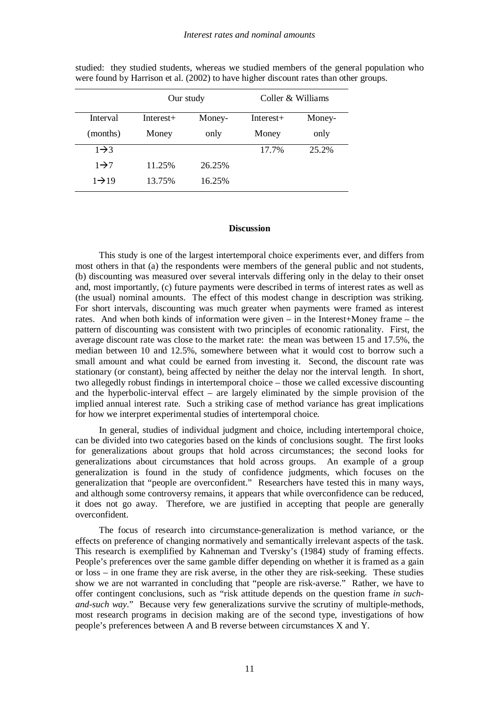|                   | Our study   |        | Coller & Williams |        |  |
|-------------------|-------------|--------|-------------------|--------|--|
| Interval          | $Interest+$ | Money- | $Interest+$       | Money- |  |
| (months)          | Money       | only   | Money             | only   |  |
| $1\rightarrow 3$  |             |        | 17.7%             | 25.2%  |  |
| $1\rightarrow 7$  | 11.25%      | 26.25% |                   |        |  |
| $1\rightarrow 19$ | 13.75%      | 16.25% |                   |        |  |

studied: they studied students, whereas we studied members of the general population who were found by Harrison et al. (2002) to have higher discount rates than other groups.

## **Discussion**

This study is one of the largest intertemporal choice experiments ever, and differs from most others in that (a) the respondents were members of the general public and not students, (b) discounting was measured over several intervals differing only in the delay to their onset and, most importantly, (c) future payments were described in terms of interest rates as well as (the usual) nominal amounts. The effect of this modest change in description was striking. For short intervals, discounting was much greater when payments were framed as interest rates. And when both kinds of information were given – in the Interest+Money frame – the pattern of discounting was consistent with two principles of economic rationality. First, the average discount rate was close to the market rate: the mean was between 15 and 17.5%, the median between 10 and 12.5%, somewhere between what it would cost to borrow such a small amount and what could be earned from investing it. Second, the discount rate was stationary (or constant), being affected by neither the delay nor the interval length. In short, two allegedly robust findings in intertemporal choice – those we called excessive discounting and the hyperbolic-interval effect – are largely eliminated by the simple provision of the implied annual interest rate. Such a striking case of method variance has great implications for how we interpret experimental studies of intertemporal choice.

In general, studies of individual judgment and choice, including intertemporal choice, can be divided into two categories based on the kinds of conclusions sought. The first looks for generalizations about groups that hold across circumstances; the second looks for generalizations about circumstances that hold across groups. An example of a group generalization is found in the study of confidence judgments, which focuses on the generalization that "people are overconfident." Researchers have tested this in many ways, and although some controversy remains, it appears that while overconfidence can be reduced, it does not go away. Therefore, we are justified in accepting that people are generally overconfident.

The focus of research into circumstance-generalization is method variance, or the effects on preference of changing normatively and semantically irrelevant aspects of the task. This research is exemplified by Kahneman and Tversky's (1984) study of framing effects. People's preferences over the same gamble differ depending on whether it is framed as a gain or loss – in one frame they are risk averse, in the other they are risk-seeking. These studies show we are not warranted in concluding that "people are risk-averse." Rather, we have to offer contingent conclusions, such as "risk attitude depends on the question frame *in suchand-such way*." Because very few generalizations survive the scrutiny of multiple-methods, most research programs in decision making are of the second type, investigations of how people's preferences between A and B reverse between circumstances X and Y.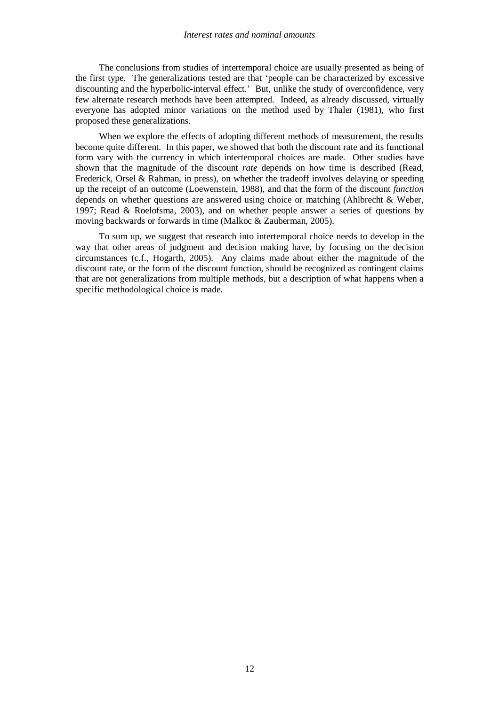#### *Interest rates and nominal amounts*

The conclusions from studies of intertemporal choice are usually presented as being of the first type. The generalizations tested are that 'people can be characterized by excessive discounting and the hyperbolic-interval effect.' But, unlike the study of overconfidence, very few alternate research methods have been attempted. Indeed, as already discussed, virtually everyone has adopted minor variations on the method used by Thaler (1981), who first proposed these generalizations.

When we explore the effects of adopting different methods of measurement, the results become quite different. In this paper, we showed that both the discount rate and its functional form vary with the currency in which intertemporal choices are made. Other studies have shown that the magnitude of the discount *rate* depends on how time is described (Read, Frederick, Orsel & Rahman, in press), on whether the tradeoff involves delaying or speeding up the receipt of an outcome (Loewenstein, 1988), and that the form of the discount *function* depends on whether questions are answered using choice or matching (Ahlbrecht & Weber, 1997; Read & Roelofsma, 2003), and on whether people answer a series of questions by moving backwards or forwards in time (Malkoc & Zauberman, 2005).

To sum up, we suggest that research into intertemporal choice needs to develop in the way that other areas of judgment and decision making have, by focusing on the decision circumstances (c.f., Hogarth, 2005). Any claims made about either the magnitude of the discount rate, or the form of the discount function, should be recognized as contingent claims that are not generalizations from multiple methods, but a description of what happens when a specific methodological choice is made.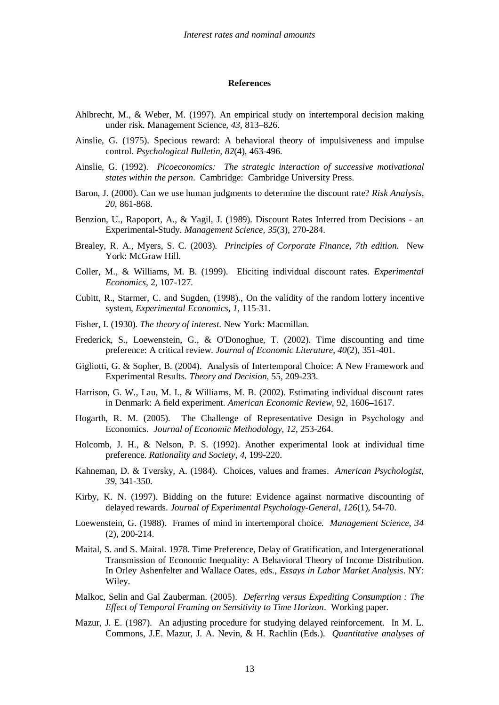#### **References**

- Ahlbrecht, M., & Weber, M. (1997). An empirical study on intertemporal decision making under risk. Management Science, *43*, 813–826.
- Ainslie, G. (1975). Specious reward: A behavioral theory of impulsiveness and impulse control. *Psychological Bulletin, 82*(4), 463-496.
- Ainslie, G. (1992). *Picoeconomics: The strategic interaction of successive motivational states within the person*. Cambridge: Cambridge University Press.
- Baron, J. (2000). Can we use human judgments to determine the discount rate? *Risk Analysis*, *20*, 861-868.
- Benzion, U., Rapoport, A., & Yagil, J. (1989). Discount Rates Inferred from Decisions an Experimental-Study. *Management Science, 35*(3), 270-284.
- Brealey, R. A., Myers, S. C. (2003). *Principles of Corporate Finance, 7th edition*. New York: McGraw Hill.
- Coller, M., & Williams, M. B. (1999). Eliciting individual discount rates. *Experimental Economics*, 2, 107-127.
- Cubitt, R., Starmer, C. and Sugden, (1998)., On the validity of the random lottery incentive system, *Experimental Economics*, *1*, 115-31.
- Fisher, I. (1930). *The theory of interest*. New York: Macmillan.
- Frederick, S., Loewenstein, G., & O'Donoghue, T. (2002). Time discounting and time preference: A critical review. *Journal of Economic Literature, 40*(2), 351-401.
- Gigliotti, G. & Sopher, B. (2004). Analysis of Intertemporal Choice: A New Framework and Experimental Results. *Theory and Decision*, 55, 209-233.
- Harrison, G. W., Lau, M. I., & Williams, M. B. (2002). Estimating individual discount rates in Denmark: A field experiment. *American Economic Review*, 92, 1606–1617.
- Hogarth, R. M. (2005). The Challenge of Representative Design in Psychology and Economics. *Journal of Economic Methodology*, *12*, 253-264.
- Holcomb, J. H., & Nelson, P. S. (1992). Another experimental look at individual time preference. *Rationality and Society*, *4*, 199-220.
- Kahneman, D. & Tversky, A. (1984). Choices, values and frames. *American Psychologist*, *39*, 341-350.
- Kirby, K. N. (1997). Bidding on the future: Evidence against normative discounting of delayed rewards. *Journal of Experimental Psychology-General, 126*(1), 54-70.
- Loewenstein, G. (1988). Frames of mind in intertemporal choice. *Management Science*, *34* (2), 200-214.
- Maital, S. and S. Maital. 1978. Time Preference, Delay of Gratification, and Intergenerational Transmission of Economic Inequality: A Behavioral Theory of Income Distribution. In Orley Ashenfelter and Wallace Oates, eds., *Essays in Labor Market Analysis*. NY: Wiley.
- Malkoc, Selin and Gal Zauberman. (2005). *Deferring versus Expediting Consumption : The Effect of Temporal Framing on Sensitivity to Time Horizon*. Working paper.
- Mazur, J. E. (1987). An adjusting procedure for studying delayed reinforcement. In M. L. Commons, J.E. Mazur, J. A. Nevin, & H. Rachlin (Eds.). *Quantitative analyses of*